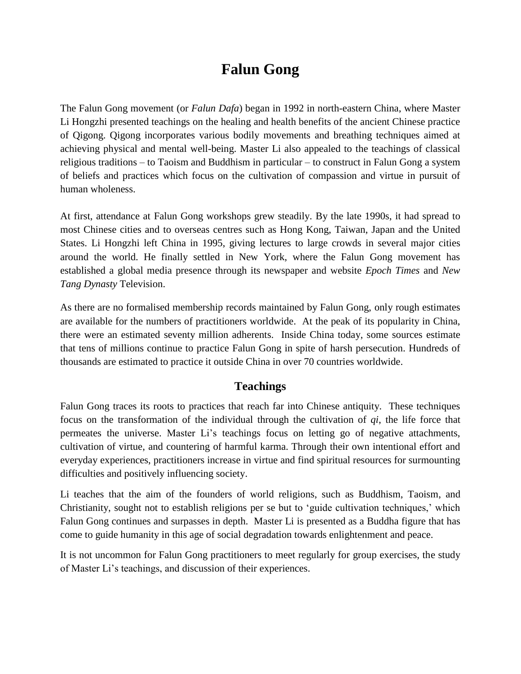# **Falun Gong**

The Falun Gong movement (or *Falun Dafa*) began in 1992 in north-eastern China, where Master Li Hongzhi presented teachings on the healing and health benefits of the ancient Chinese practice of Qigong. Qigong incorporates various bodily movements and breathing techniques aimed at achieving physical and mental well-being. Master Li also appealed to the teachings of classical religious traditions – to Taoism and Buddhism in particular – to construct in Falun Gong a system of beliefs and practices which focus on the cultivation of compassion and virtue in pursuit of human wholeness.

At first, attendance at Falun Gong workshops grew steadily. By the late 1990s, it had spread to most Chinese cities and to overseas centres such as Hong Kong, Taiwan, Japan and the United States. Li Hongzhi left China in 1995, giving lectures to large crowds in several major cities around the world. He finally settled in New York, where the Falun Gong movement has established a global media presence through its newspaper and website *Epoch Times* and *New Tang Dynasty* Television.

As there are no formalised membership records maintained by Falun Gong, only rough estimates are available for the numbers of practitioners worldwide. At the peak of its popularity in China, there were an estimated seventy million adherents. Inside China today, some sources estimate that tens of millions continue to practice Falun Gong in spite of harsh persecution. Hundreds of thousands are estimated to practice it outside China in over 70 countries worldwide.

#### **Teachings**

Falun Gong traces its roots to practices that reach far into Chinese antiquity. These techniques focus on the transformation of the individual through the cultivation of *qi*, the life force that permeates the universe. Master Li's teachings focus on letting go of negative attachments, cultivation of virtue, and countering of harmful karma. Through their own intentional effort and everyday experiences, practitioners increase in virtue and find spiritual resources for surmounting difficulties and positively influencing society.

Li teaches that the aim of the founders of world religions, such as Buddhism, Taoism, and Christianity, sought not to establish religions per se but to 'guide cultivation techniques,' which Falun Gong continues and surpasses in depth. Master Li is presented as a Buddha figure that has come to guide humanity in this age of social degradation towards enlightenment and peace.

It is not uncommon for Falun Gong practitioners to meet regularly for group exercises, the study of Master Li's teachings, and discussion of their experiences.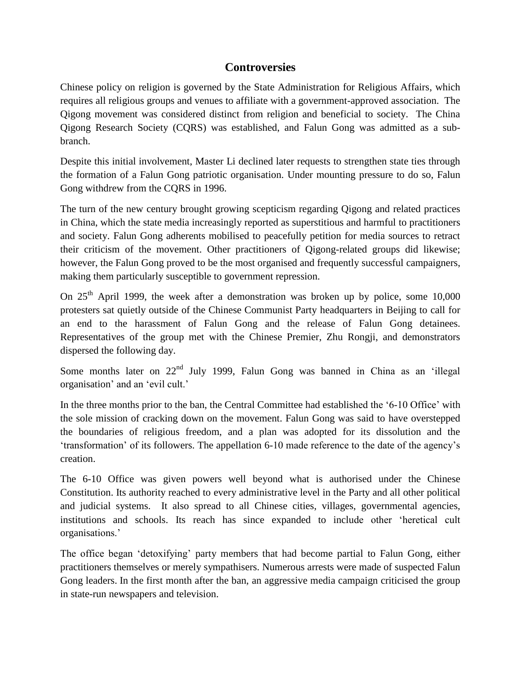#### **Controversies**

Chinese policy on religion is governed by the State Administration for Religious Affairs, which requires all religious groups and venues to affiliate with a government-approved association. The Qigong movement was considered distinct from religion and beneficial to society. The China Qigong Research Society (CQRS) was established, and Falun Gong was admitted as a subbranch.

Despite this initial involvement, Master Li declined later requests to strengthen state ties through the formation of a Falun Gong patriotic organisation. Under mounting pressure to do so, Falun Gong withdrew from the CQRS in 1996.

The turn of the new century brought growing scepticism regarding Qigong and related practices in China, which the state media increasingly reported as superstitious and harmful to practitioners and society. Falun Gong adherents mobilised to peacefully petition for media sources to retract their criticism of the movement. Other practitioners of Qigong-related groups did likewise; however, the Falun Gong proved to be the most organised and frequently successful campaigners, making them particularly susceptible to government repression.

On  $25<sup>th</sup>$  April 1999, the week after a demonstration was broken up by police, some 10,000 protesters sat quietly outside of the Chinese Communist Party headquarters in Beijing to call for an end to the harassment of Falun Gong and the release of Falun Gong detainees. Representatives of the group met with the Chinese Premier, Zhu Rongji, and demonstrators dispersed the following day.

Some months later on 22<sup>nd</sup> July 1999, Falun Gong was banned in China as an 'illegal organisation' and an 'evil cult.'

In the three months prior to the ban, the Central Committee had established the '6-10 Office' with the sole mission of cracking down on the movement. Falun Gong was said to have overstepped the boundaries of religious freedom, and a plan was adopted for its dissolution and the 'transformation' of its followers. The appellation 6-10 made reference to the date of the agency's creation.

The 6-10 Office was given powers well beyond what is authorised under the Chinese Constitution. Its authority reached to every administrative level in the Party and all other political and judicial systems. It also spread to all Chinese cities, villages, governmental agencies, institutions and schools. Its reach has since expanded to include other 'heretical cult organisations.'

The office began 'detoxifying' party members that had become partial to Falun Gong, either practitioners themselves or merely sympathisers. Numerous arrests were made of suspected Falun Gong leaders. In the first month after the ban, an aggressive media campaign criticised the group in state-run newspapers and television.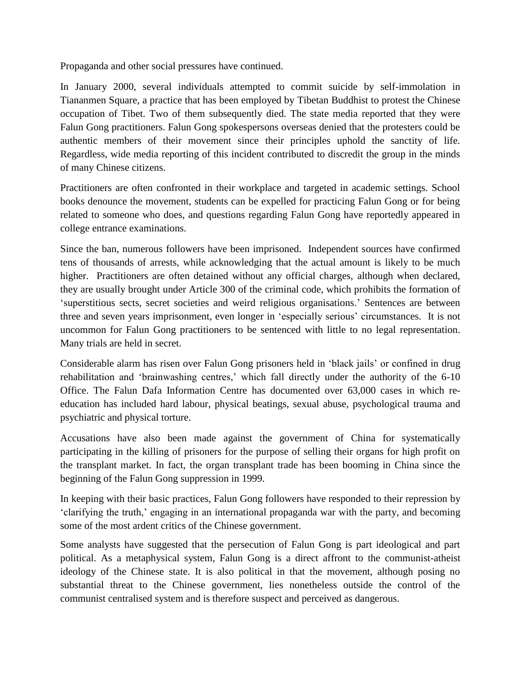Propaganda and other social pressures have continued.

In January 2000, several individuals attempted to commit suicide by self-immolation in Tiananmen Square, a practice that has been employed by Tibetan Buddhist to protest the Chinese occupation of Tibet. Two of them subsequently died. The state media reported that they were Falun Gong practitioners. Falun Gong spokespersons overseas denied that the protesters could be authentic members of their movement since their principles uphold the sanctity of life. Regardless, wide media reporting of this incident contributed to discredit the group in the minds of many Chinese citizens.

Practitioners are often confronted in their workplace and targeted in academic settings. School books denounce the movement, students can be expelled for practicing Falun Gong or for being related to someone who does, and questions regarding Falun Gong have reportedly appeared in college entrance examinations.

Since the ban, numerous followers have been imprisoned. Independent sources have confirmed tens of thousands of arrests, while acknowledging that the actual amount is likely to be much higher. Practitioners are often detained without any official charges, although when declared, they are usually brought under Article 300 of the criminal code, which prohibits the formation of 'superstitious sects, secret societies and weird religious organisations.' Sentences are between three and seven years imprisonment, even longer in 'especially serious' circumstances. It is not uncommon for Falun Gong practitioners to be sentenced with little to no legal representation. Many trials are held in secret.

Considerable alarm has risen over Falun Gong prisoners held in 'black jails' or confined in drug rehabilitation and 'brainwashing centres,' which fall directly under the authority of the 6-10 Office. The Falun Dafa Information Centre has documented over 63,000 cases in which reeducation has included hard labour, physical beatings, sexual abuse, psychological trauma and psychiatric and physical torture.

Accusations have also been made against the government of China for systematically participating in the killing of prisoners for the purpose of selling their organs for high profit on the transplant market. In fact, the organ transplant trade has been booming in China since the beginning of the Falun Gong suppression in 1999.

In keeping with their basic practices, Falun Gong followers have responded to their repression by 'clarifying the truth,' engaging in an international propaganda war with the party, and becoming some of the most ardent critics of the Chinese government.

Some analysts have suggested that the persecution of Falun Gong is part ideological and part political. As a metaphysical system, Falun Gong is a direct affront to the communist-atheist ideology of the Chinese state. It is also political in that the movement, although posing no substantial threat to the Chinese government, lies nonetheless outside the control of the communist centralised system and is therefore suspect and perceived as dangerous.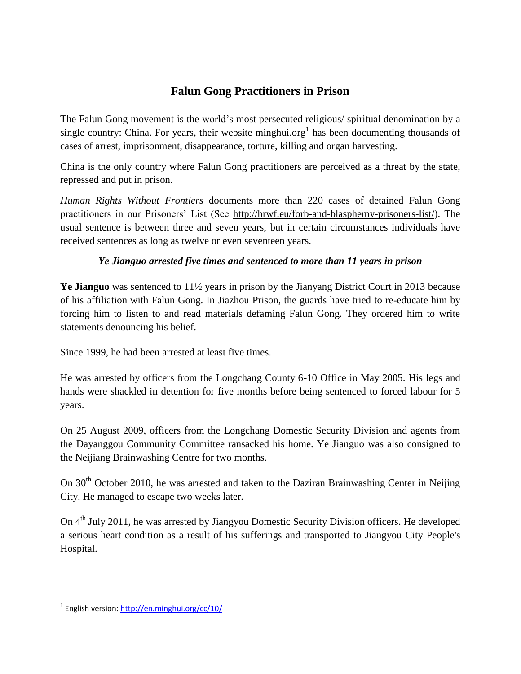## **Falun Gong Practitioners in Prison**

The Falun Gong movement is the world's most persecuted religious/ spiritual denomination by a single country: China. For years, their website minghui.org<sup>1</sup> has been documenting thousands of cases of arrest, imprisonment, disappearance, torture, killing and organ harvesting.

China is the only country where Falun Gong practitioners are perceived as a threat by the state, repressed and put in prison.

*Human Rights Without Frontiers* documents more than 220 cases of detained Falun Gong practitioners in our Prisoners' List (See [http://hrwf.eu/forb-and-blasphemy-prisoners-list/\)](http://hrwf.eu/forb-and-blasphemy-prisoners-list/). The usual sentence is between three and seven years, but in certain circumstances individuals have received sentences as long as twelve or even seventeen years.

#### *Ye Jianguo arrested five times and sentenced to more than 11 years in prison*

**Ye Jianguo** was sentenced to 11½ years in prison by the Jianyang District Court in 2013 because of his affiliation with Falun Gong. In Jiazhou Prison, the guards have tried to re-educate him by forcing him to listen to and read materials defaming Falun Gong. They ordered him to write statements denouncing his belief.

Since 1999, he had been arrested at least five times.

He was arrested by officers from the Longchang County 6-10 Office in May 2005. His legs and hands were shackled in detention for five months before being sentenced to forced labour for 5 years.

On 25 August 2009, officers from the Longchang Domestic Security Division and agents from the Dayanggou Community Committee ransacked his home. Ye Jianguo was also consigned to the Neijiang Brainwashing Centre for two months.

On  $30<sup>th</sup>$  October 2010, he was arrested and taken to the Daziran Brainwashing Center in Neijing City. He managed to escape two weeks later.

On 4<sup>th</sup> July 2011, he was arrested by Jiangyou Domestic Security Division officers. He developed a serious heart condition as a result of his sufferings and transported to Jiangyou City People's Hospital.

 $\overline{a}$ 

<sup>&</sup>lt;sup>1</sup> English version:<http://en.minghui.org/cc/10/>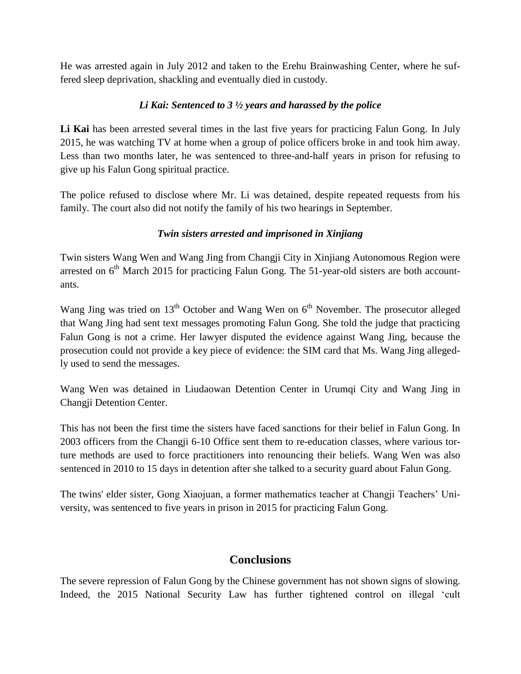He was arrested again in July 2012 and taken to the Erehu Brainwashing Center, where he suffered sleep deprivation, shackling and eventually died in custody.

#### *Li Kai: Sentenced to 3 ½ years and harassed by the police*

**Li Kai** has been arrested several times in the last five years for practicing Falun Gong. In July 2015, he was watching TV at home when a group of police officers broke in and took him away. Less than two months later, he was sentenced to three-and-half years in prison for refusing to give up his Falun Gong spiritual practice.

The police refused to disclose where Mr. Li was detained, despite repeated requests from his family. The court also did not notify the family of his two hearings in September.

#### *Twin sisters arrested and imprisoned in Xinjiang*

Twin sisters Wang Wen and Wang Jing from Changji City in Xinjiang Autonomous Region were arrested on  $6<sup>th</sup>$  March 2015 for practicing Falun Gong. The 51-year-old sisters are both accountants.

Wang Jing was tried on  $13<sup>th</sup>$  October and Wang Wen on  $6<sup>th</sup>$  November. The prosecutor alleged that Wang Jing had sent text messages promoting Falun Gong. She told the judge that practicing Falun Gong is not a crime. Her lawyer disputed the evidence against Wang Jing, because the prosecution could not provide a key piece of evidence: the SIM card that Ms. Wang Jing allegedly used to send the messages.

Wang Wen was detained in Liudaowan Detention Center in Urumqi City and Wang Jing in Changji Detention Center.

This has not been the first time the sisters have faced sanctions for their belief in Falun Gong. In 2003 officers from the Changji 6-10 Office sent them to re-education classes, where various torture methods are used to force practitioners into renouncing their beliefs. Wang Wen was also sentenced in 2010 to 15 days in detention after she talked to a security guard about Falun Gong.

The twins' elder sister, Gong Xiaojuan, a former mathematics teacher at Changji Teachers' University, was sentenced to five years in prison in 2015 for practicing Falun Gong.

### **Conclusions**

The severe repression of Falun Gong by the Chinese government has not shown signs of slowing. Indeed, the 2015 National Security Law has further tightened control on illegal 'cult